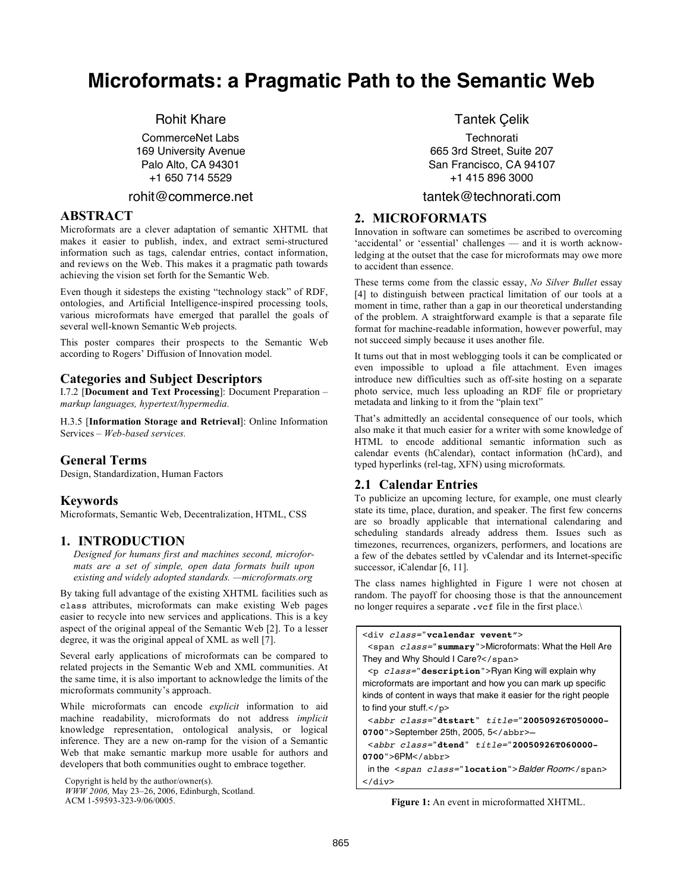# **Microformats: a Pragmatic Path to the Semantic Web**

# Rohit Khare

CommerceNet Labs 169 University Avenue Palo Alto, CA 94301 +1 650 714 5529

#### rohit@commerce.net

# **ABSTRACT**

Microformats are a clever adaptation of semantic XHTML that makes it easier to publish, index, and extract semi-structured information such as tags, calendar entries, contact information, and reviews on the Web. This makes it a pragmatic path towards achieving the vision set forth for the Semantic Web.

Even though it sidesteps the existing "technology stack" of RDF, ontologies, and Artificial Intelligence-inspired processing tools, various microformats have emerged that parallel the goals of several well-known Semantic Web projects.

This poster compares their prospects to the Semantic Web according to Rogers' Diffusion of Innovation model.

# **Categories and Subject Descriptors**

I.7.2 [**Document and Text Processing**]: Document Preparation – *markup languages, hypertext/hypermedia.*

H.3.5 [**Information Storage and Retrieval**]: Online Information Services – *Web-based services.*

## **General Terms**

Design, Standardization, Human Factors

## **Keywords**

Microformats, Semantic Web, Decentralization, HTML, CSS

## **1. INTRODUCTION**

*Designed for humans first and machines second, microformats are a set of simple, open data formats built upon existing and widely adopted standards. —microformats.org*

By taking full advantage of the existing XHTML facilities such as class attributes, microformats can make existing Web pages easier to recycle into new services and applications. This is a key aspect of the original appeal of the Semantic Web [2]. To a lesser degree, it was the original appeal of XML as well [7].

Several early applications of microformats can be compared to related projects in the Semantic Web and XML communities. At the same time, it is also important to acknowledge the limits of the microformats community's approach.

While microformats can encode *explicit* information to aid machine readability, microformats do not address *implicit* knowledge representation, ontological analysis, or logical inference. They are a new on-ramp for the vision of a Semantic Web that make semantic markup more usable for authors and developers that both communities ought to embrace together.

Copyright is held by the author/owner(s).

Tantek Çelik

**Technorati** 665 3rd Street, Suite 207 San Francisco, CA 94107 +1 415 896 3000

## tantek@technorati.com

## **2. MICROFORMATS**

Innovation in software can sometimes be ascribed to overcoming 'accidental' or 'essential' challenges — and it is worth acknowledging at the outset that the case for microformats may owe more to accident than essence.

These terms come from the classic essay, *No Silver Bullet* essay [4] to distinguish between practical limitation of our tools at a moment in time, rather than a gap in our theoretical understanding of the problem. A straightforward example is that a separate file format for machine-readable information, however powerful, may not succeed simply because it uses another file.

It turns out that in most weblogging tools it can be complicated or even impossible to upload a file attachment. Even images introduce new difficulties such as off-site hosting on a separate photo service, much less uploading an RDF file or proprietary metadata and linking to it from the "plain text"

That's admittedly an accidental consequence of our tools, which also make it that much easier for a writer with some knowledge of HTML to encode additional semantic information such as calendar events (hCalendar), contact information (hCard), and typed hyperlinks (rel-tag, XFN) using microformats.

## **2.1 Calendar Entries**

To publicize an upcoming lecture, for example, one must clearly state its time, place, duration, and speaker. The first few concerns are so broadly applicable that international calendaring and scheduling standards already address them. Issues such as timezones, recurrences, organizers, performers, and locations are a few of the debates settled by vCalendar and its Internet-specific successor, iCalendar [6, 11].

The class names highlighted in Figure 1 were not chosen at random. The payoff for choosing those is that the announcement no longer requires a separate .vcf file in the first place.\

<div class="**vcalendar vevent**">

```
<span class="summary">Microformats: What the Hell Are
They and Why Should I Care?</span>
```
<p class="**description**">Ryan King will explain why microformats are important and how you can mark up specific kinds of content in ways that make it easier for the right people to find your stuff.</p>

```
<abbr class="dtstart" title="20050926T050000-
0700">September 25th, 2005, 5</abbr>—
```

```
<abbr class="dtend" title="20050926T060000-
```

```
0700">6PM</abbr>
```
in the <span class="**location**">Balder Room</span>  $\langle$ div $>$ 

**Figure 1:** An event in microformatted XHTML.

*WWW 2006,* May 23–26, 2006, Edinburgh, Scotland. ACM 1-59593-323-9/06/0005.